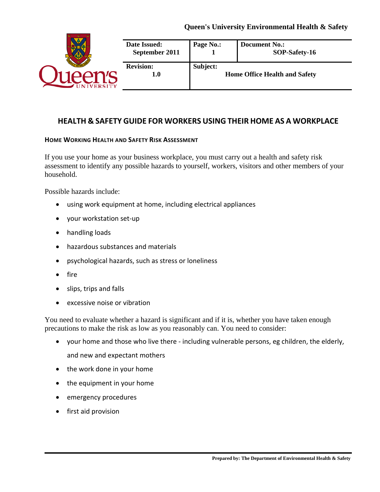

# **HEALTH & SAFETY GUIDE FOR WORKERS USING THEIR HOME AS A WORKPLACE**

#### **HOME WORKING HEALTH AND SAFETY RISK ASSESSMENT**

If you use your home as your business workplace, you must carry out a health and safety risk assessment to identify any possible hazards to yourself, workers, visitors and other members of your household.

Possible hazards include:

- using work equipment at home, including electrical appliances
- your workstation set-up
- handling loads
- hazardous substances and materials
- psychological hazards, such as stress or loneliness
- fire
- slips, trips and falls
- excessive noise or vibration

You need to evaluate whether a hazard is significant and if it is, whether you have taken enough precautions to make the risk as low as you reasonably can. You need to consider:

- your home and those who live there including vulnerable persons, eg children, the elderly, and new and expectant mothers
- the work done in your home
- the equipment in your home
- emergency procedures
- first aid provision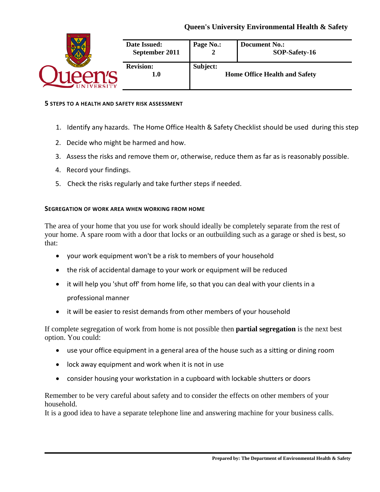

#### **5 STEPS TO A HEALTH AND SAFETY RISK ASSESSMENT**

- 1. Identify any hazards. The Home Office Health & Safety Checklist should be used during this step
- 2. Decide who might be harmed and how.
- 3. Assess the risks and remove them or, otherwise, reduce them as far as is reasonably possible.
- 4. Record your findings.
- 5. Check the risks regularly and take further steps if needed.

### **SEGREGATION OF WORK AREA WHEN WORKING FROM HOME**

The area of your home that you use for work should ideally be completely separate from the rest of your home. A spare room with a door that locks or an outbuilding such as a garage or shed is best, so that:

- your work equipment won't be a risk to members of your household
- the risk of accidental damage to your work or equipment will be reduced
- it will help you 'shut off' from home life, so that you can deal with your clients in a professional manner
- it will be easier to resist demands from other members of your household

If complete segregation of work from home is not possible then **partial segregation** is the next best option. You could:

- use your office equipment in a general area of the house such as a sitting or dining room
- lock away equipment and work when it is not in use
- consider housing your workstation in a cupboard with lockable shutters or doors

Remember to be very careful about safety and to consider the effects on other members of your household.

It is a good idea to have a separate telephone line and answering machine for your business calls.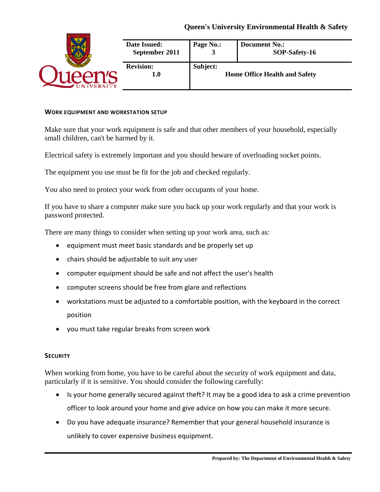|               | Date Issued:<br>September 2011 | Page No.:                                        | <b>Document No.:</b><br>SOP-Safety-16 |
|---------------|--------------------------------|--------------------------------------------------|---------------------------------------|
| <b>ERSITY</b> | <b>Revision:</b><br>1.0        | Subject:<br><b>Home Office Health and Safety</b> |                                       |

#### **WORK EQUIPMENT AND WORKSTATION SETUP**

Make sure that your work equipment is safe and that other members of your household, especially small children, can't be harmed by it.

Electrical safety is extremely important and you should beware of overloading socket points.

The equipment you use must be fit for the job and checked regularly.

You also need to protect your work from other occupants of your home.

If you have to share a computer make sure you back up your work regularly and that your work is password protected.

There are many things to consider when setting up your work area, such as:

- equipment must meet basic standards and be properly set up
- chairs should be adjustable to suit any user
- computer equipment should be safe and not affect the user's health
- computer screens should be free from glare and reflections
- workstations must be adjusted to a comfortable position, with the keyboard in the correct position
- you must take regular breaks from screen work

#### **SECURITY**

When working from home, you have to be careful about the security of work equipment and data, particularly if it is sensitive. You should consider the following carefully:

- Is your home generally secured against theft? It may be a good idea to ask a crime prevention officer to look around your home and give advice on how you can make it more secure.
- Do you have adequate insurance? Remember that your general household insurance is unlikely to cover expensive business equipment.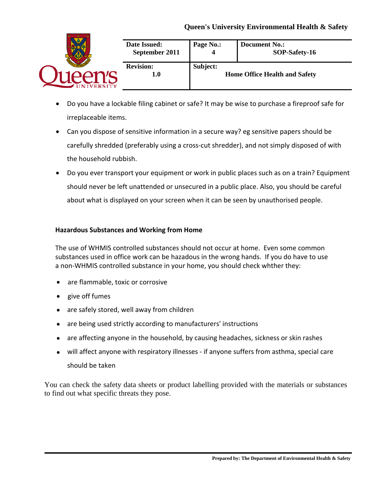|  | <b>Date Issued:</b><br>September 2011 | Page No.:                                        | <b>Document No.:</b><br>SOP-Safety-16 |
|--|---------------------------------------|--------------------------------------------------|---------------------------------------|
|  | <b>Revision:</b><br>1.0               | Subject:<br><b>Home Office Health and Safety</b> |                                       |

- Do you have a lockable filing cabinet or safe? It may be wise to purchase a fireproof safe for irreplaceable items.
- Can you dispose of sensitive information in a secure way? eg sensitive papers should be carefully shredded (preferably using a cross-cut shredder), and not simply disposed of with the household rubbish.
- Do you ever transport your equipment or work in public places such as on a train? Equipment should never be left unattended or unsecured in a public place. Also, you should be careful about what is displayed on your screen when it can be seen by unauthorised people.

### **Hazardous Substances and Working from Home**

The use of WHMIS controlled substances should not occur at home. Even some common substances used in office work can be hazadous in the wrong hands. If you do have to use a non-WHMIS controlled substance in your home, you should check whther they:

- are flammable, toxic or corrosive
- give off fumes
- are safely stored, well away from children
- are being used strictly according to manufacturers' instructions
- are affecting anyone in the household, by causing headaches, sickness or skin rashes
- will affect anyone with respiratory illnesses if anyone suffers from asthma, special care should be taken

You can check the safety data sheets or product labelling provided with the materials or substances to find out what specific threats they pose.